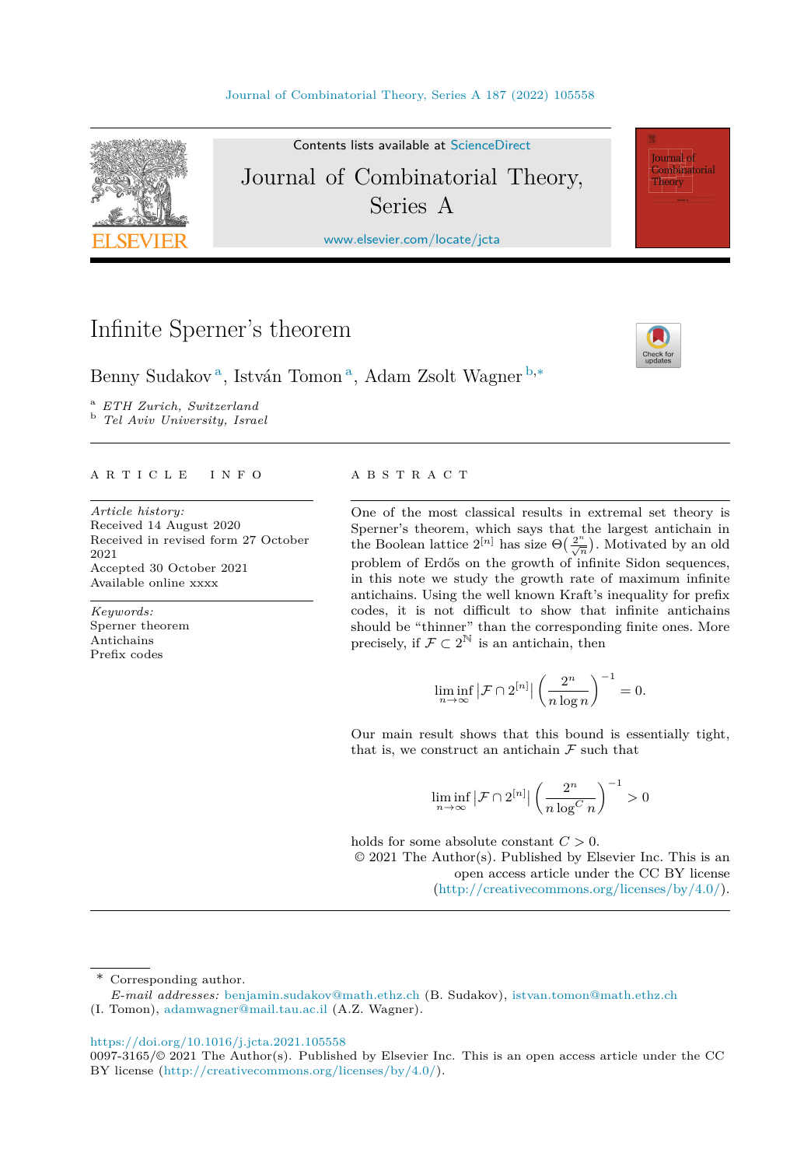

Contents lists available at [ScienceDirect](http://www.ScienceDirect.com/) Journal of Combinatorial Theory, Series A

[www.elsevier.com/locate/jcta](http://www.elsevier.com/locate/jcta)

# Infinite Sperner's theorem



**Journal** of Combinatorial Theory

Benny Sudakov<sup>a</sup>, István Tomon<sup>a</sup>, Adam Zsolt Wagner <sup>b,∗</sup>

<sup>a</sup> *ETH Zurich, Switzerland* <sup>b</sup> *Tel Aviv University, Israel*

#### A R T I C L E I N F O A B S T R A C T

*Article history:* Received 14 August 2020 Received in revised form 27 October 2021 Accepted 30 October 2021 Available online xxxx

*Keywords:* Sperner theorem Antichains Prefix codes

One of the most classical results in extremal set theory is Sperner's theorem, which says that the largest antichain in the Boolean lattice  $2^{[n]}$  has size  $\Theta\left(\frac{2^n}{\sqrt{n}}\right)$ . Motivated by an old problem of Erdős on the growth of infinite Sidon sequences, in this note we study the growth rate of maximum infinite antichains. Using the well known Kraft's inequality for prefix codes, it is not difficult to show that infinite antichains should be "thinner" than the corresponding finite ones. More precisely, if  $\mathcal{F} \subset 2^{\mathbb{N}}$  is an antichain, then

$$
\liminf_{n \to \infty} |\mathcal{F} \cap 2^{[n]}| \left(\frac{2^n}{n \log n}\right)^{-1} = 0.
$$

Our main result shows that this bound is essentially tight, that is, we construct an antichain  $\mathcal F$  such that

$$
\liminf_{n \to \infty} |\mathcal{F} \cap 2^{[n]}| \left(\frac{2^n}{n \log^C n}\right)^{-1} > 0
$$

holds for some absolute constant *C >* 0.

© 2021 The Author(s). Published by Elsevier Inc. This is an open access article under the CC BY license (<http://creativecommons.org/licenses/by/4.0/>).

\* Corresponding author.

*E-mail addresses:* [benjamin.sudakov@math.ethz.ch](mailto:benjamin.sudakov@math.ethz.ch) (B. Sudakov), [istvan.tomon@math.ethz.ch](mailto:istvan.tomon@math.ethz.ch) (I. Tomon), [adamwagner@mail.tau.ac.il](mailto:adamwagner@mail.tau.ac.il) (A.Z. Wagner).

<https://doi.org/10.1016/j.jcta.2021.105558>

<sup>0097-3165/©</sup> 2021 The Author(s). Published by Elsevier Inc. This is an open access article under the CC BY license [\(http://creativecommons.org/licenses/by/4.0/](http://creativecommons.org/licenses/by/4.0/)).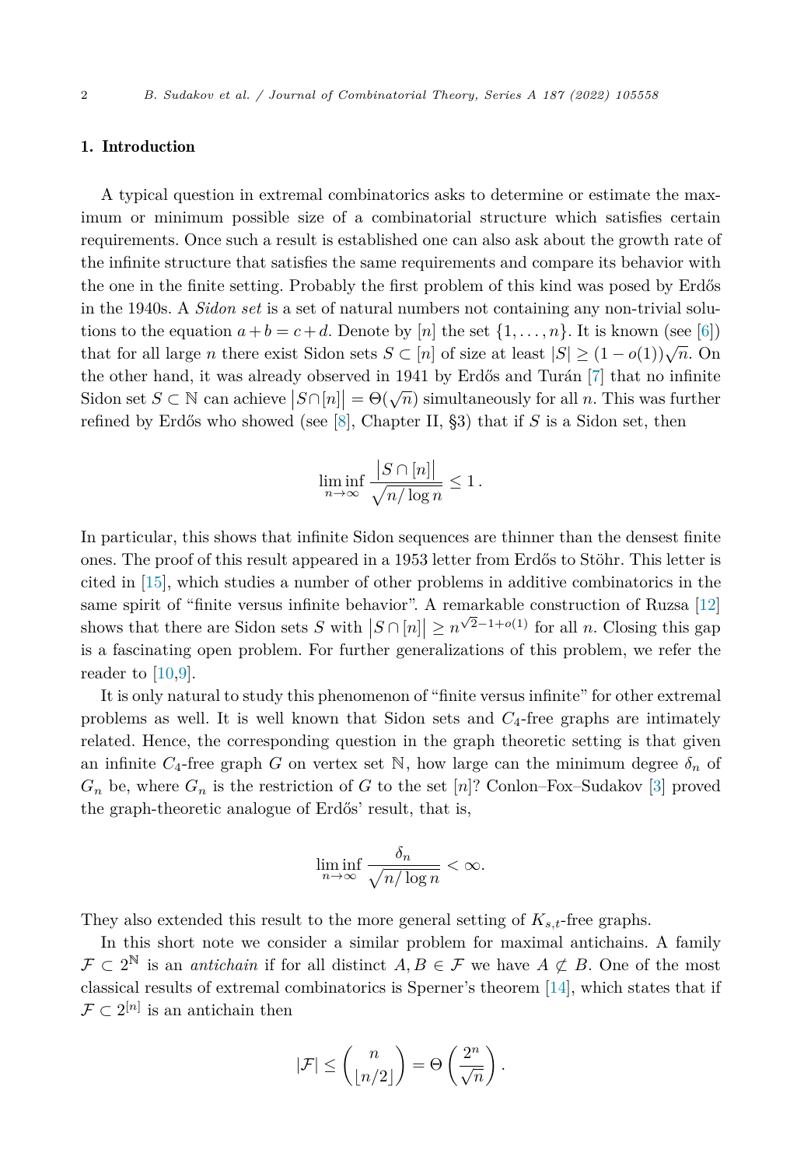#### 1. Introduction

A typical question in extremal combinatorics asks to determine or estimate the maximum or minimum possible size of a combinatorial structure which satisfies certain requirements. Once such a result is established one can also ask about the growth rate of the infinite structure that satisfies the same requirements and compare its behavior with the one in the finite setting. Probably the first problem of this kind was posed by Erdős in the 1940s. A *Sidon set* is a set of natural numbers not containing any non-trivial solutions to the equation  $a + b = c + d$ . Denote by [*n*] the set  $\{1, \ldots, n\}$ . It is known (see [[6\]](#page-11-0)) that for all large *n* there exist Sidon sets  $S \subset [n]$  of size at least  $|S| \geq (1 - o(1))\sqrt{n}$ . On the other hand, it was already observed in 1941 by Erdős and Turán [\[7](#page-11-0)] that no infinite Sidon set *S* ⊂ N can achieve  $|S \cap [n]| = \Theta(\sqrt{n})$  simultaneously for all *n*. This was further refined by Erdős who showed (see [\[8\]](#page-11-0), Chapter II, §3) that if *S* is a Sidon set, then

$$
\liminf_{n \to \infty} \frac{|S \cap [n]|}{\sqrt{n/\log n}} \le 1.
$$

In particular, this shows that infinite Sidon sequences are thinner than the densest finite ones. The proof of this result appeared in a 1953 letter from Erdős to Stöhr. This letter is cited in [\[15](#page-11-0)], which studies a number of other problems in additive combinatorics in the same spirit of "finite versus infinite behavior". A remarkable construction of Ruzsa [[12\]](#page-11-0) shows that there are Sidon sets *S* with  $|S \cap [n]| \ge n^{\sqrt{2}-1+o(1)}$  for all *n*. Closing this gap is a fascinating open problem. For further generalizations of this problem, we refer the reader to [\[10,9](#page-11-0)].

It is only natural to study this phenomenon of "finite versus infinite" for other extremal problems as well. It is well known that Sidon sets and *C*4-free graphs are intimately related. Hence, the corresponding question in the graph theoretic setting is that given an infinite  $C_4$ -free graph *G* on vertex set N, how large can the minimum degree  $\delta_n$  of  $G_n$  be, where  $G_n$  is the restriction of *G* to the set [*n*]? Conlon–Fox–Sudakov [\[3\]](#page-10-0) proved the graph-theoretic analogue of Erdős' result, that is,

$$
\liminf_{n \to \infty} \frac{\delta_n}{\sqrt{n/\log n}} < \infty.
$$

They also extended this result to the more general setting of *Ks,t*-free graphs.

In this short note we consider a similar problem for maximal antichains. A family  $\mathcal{F} \subset 2^{\mathbb{N}}$  is an *antichain* if for all distinct  $A, B \in \mathcal{F}$  we have  $A \not\subset B$ . One of the most classical results of extremal combinatorics is Sperner's theorem [\[14\]](#page-11-0), which states that if  $\mathcal{F} \subset 2^{[n]}$  is an antichain then

$$
|\mathcal{F}| \leq {n \choose \lfloor n/2 \rfloor} = \Theta\left(\frac{2^n}{\sqrt{n}}\right).
$$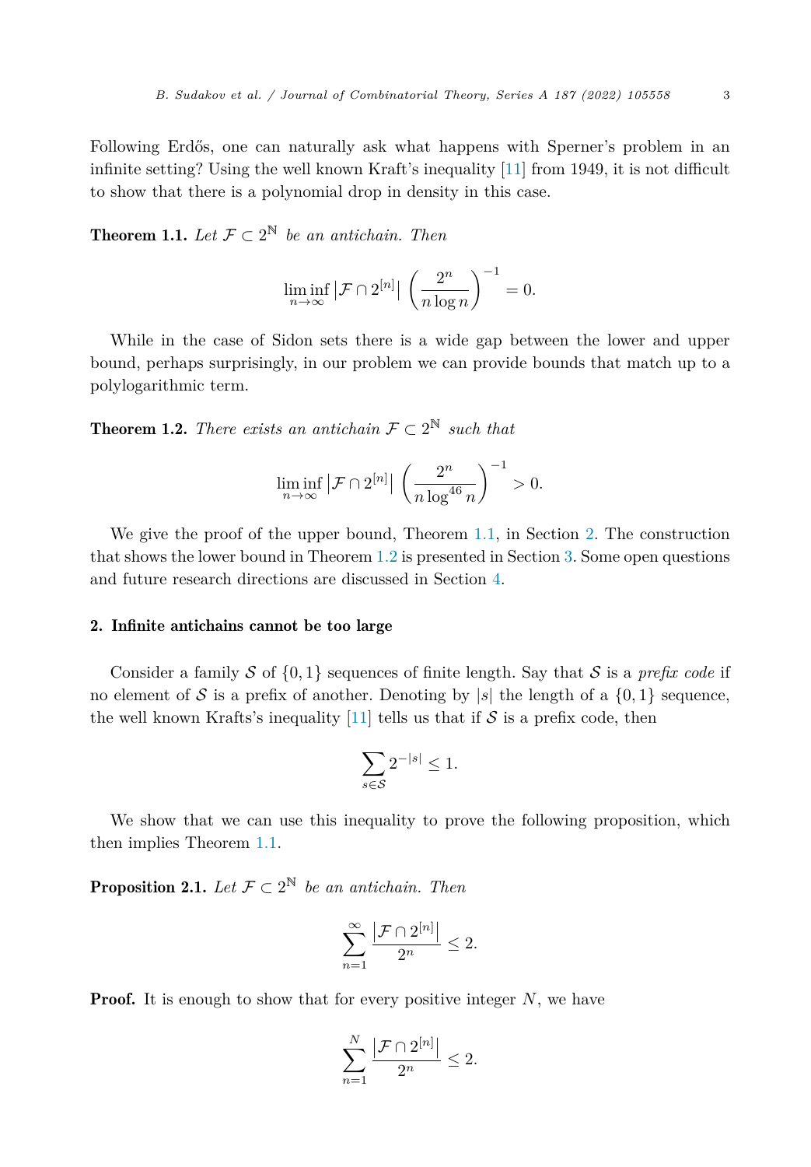<span id="page-2-0"></span>Following Erdős, one can naturally ask what happens with Sperner's problem in an infinite setting? Using the well known Kraft's inequality [\[11\]](#page-11-0) from 1949, it is not difficult to show that there is a polynomial drop in density in this case.

**Theorem 1.1.** Let  $\mathcal{F} \subset 2^{\mathbb{N}}$  be an antichain. Then

$$
\liminf_{n \to \infty} |\mathcal{F} \cap 2^{[n]}| \left(\frac{2^n}{n \log n}\right)^{-1} = 0.
$$

While in the case of Sidon sets there is a wide gap between the lower and upper bound, perhaps surprisingly, in our problem we can provide bounds that match up to a polylogarithmic term.

**Theorem 1.2.** *There exists an antichain*  $\mathcal{F} \subset 2^{\mathbb{N}}$  *such that* 

$$
\liminf_{n \to \infty} |\mathcal{F} \cap 2^{[n]}| \left( \frac{2^n}{n \log^{46} n} \right)^{-1} > 0.
$$

We give the proof of the upper bound, Theorem 1.1, in Section 2. The construction that shows the lower bound in Theorem 1.2 is presented in Section [3.](#page-3-0) Some open questions and future research directions are discussed in Section [4.](#page-9-0)

# 2. Infinite antichains cannot be too large

Consider a family S of  $\{0, 1\}$  sequences of finite length. Say that S is a *prefix code* if no element of S is a prefix of another. Denoting by  $|s|$  the length of a  $\{0,1\}$  sequence, the well known Krafts's inequality [\[11](#page-11-0)] tells us that if  $S$  is a prefix code, then

$$
\sum_{s \in \mathcal{S}} 2^{-|s|} \le 1.
$$

We show that we can use this inequality to prove the following proposition, which then implies Theorem 1.1.

**Proposition 2.1.** *Let*  $\mathcal{F} \subset 2^{\mathbb{N}}$  *be an antichain. Then* 

$$
\sum_{n=1}^{\infty} \frac{|\mathcal{F} \cap 2^{[n]}|}{2^n} \le 2.
$$

**Proof.** It is enough to show that for every positive integer N, we have

$$
\sum_{n=1}^{N} \frac{|\mathcal{F} \cap 2^{[n]}|}{2^n} \le 2.
$$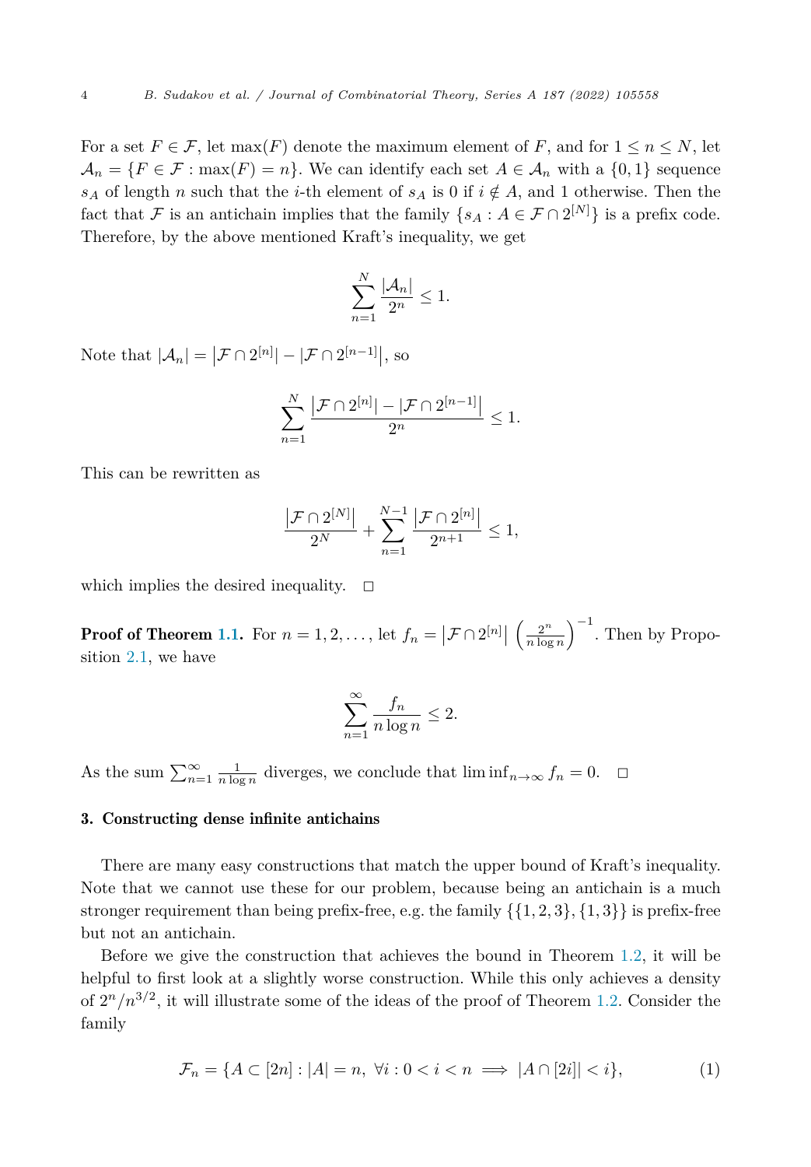<span id="page-3-0"></span>For a set  $F \in \mathcal{F}$ , let max(*F*) denote the maximum element of *F*, and for  $1 \leq n \leq N$ , let  $\mathcal{A}_n = \{F \in \mathcal{F} : \max(F) = n\}.$  We can identify each set  $A \in \mathcal{A}_n$  with a  $\{0,1\}$  sequence *s*<sub>*A*</sub> of length *n* such that the *i*-th element of *s<sub>A</sub>* is 0 if  $i \notin A$ , and 1 otherwise. Then the fact that F is an antichain implies that the family  $\{s_A : A \in \mathcal{F} \cap 2^{[N]}\}\$ is a prefix code. Therefore, by the above mentioned Kraft's inequality, we get

$$
\sum_{n=1}^{N} \frac{|\mathcal{A}_n|}{2^n} \le 1.
$$

Note that  $|\mathcal{A}_n| = |\mathcal{F} \cap 2^{[n]}| - |\mathcal{F} \cap 2^{[n-1]}|$ , so

$$
\sum_{n=1}^{N} \frac{|\mathcal{F} \cap 2^{[n]}| - |\mathcal{F} \cap 2^{[n-1]}|}{2^n} \leq 1.
$$

This can be rewritten as

$$
\frac{|\mathcal{F} \cap 2^{[N]}|}{2^N} + \sum_{n=1}^{N-1} \frac{|\mathcal{F} \cap 2^{[n]}|}{2^{n+1}} \le 1,
$$

which implies the desired inequality.  $\Box$ 

**Proof of Theorem [1.1.](#page-2-0)** For  $n = 1, 2, ...,$  let  $f_n = |\mathcal{F} \cap 2^{[n]}|$  $\left(\frac{2^n}{n \log n}\right)^{-1}$ . Then by Proposition [2.1,](#page-2-0) we have

$$
\sum_{n=1}^{\infty} \frac{f_n}{n \log n} \le 2.
$$

As the sum  $\sum_{n=1}^{\infty} \frac{1}{n \log n}$  diverges, we conclude that  $\liminf_{n \to \infty} f_n = 0$ .  $\Box$ 

#### 3. Constructing dense infinite antichains

There are many easy constructions that match the upper bound of Kraft's inequality. Note that we cannot use these for our problem, because being an antichain is a much stronger requirement than being prefix-free, e.g. the family  $\{\{1, 2, 3\}, \{1, 3\}\}\$ is prefix-free but not an antichain.

Before we give the construction that achieves the bound in Theorem [1.2](#page-2-0), it will be helpful to first look at a slightly worse construction. While this only achieves a density of  $2^n/n^{3/2}$ , it will illustrate some of the ideas of the proof of Theorem [1.2.](#page-2-0) Consider the family

$$
\mathcal{F}_n = \{ A \subset [2n] : |A| = n, \ \forall i : 0 < i < n \implies |A \cap [2i]| < i \},\tag{1}
$$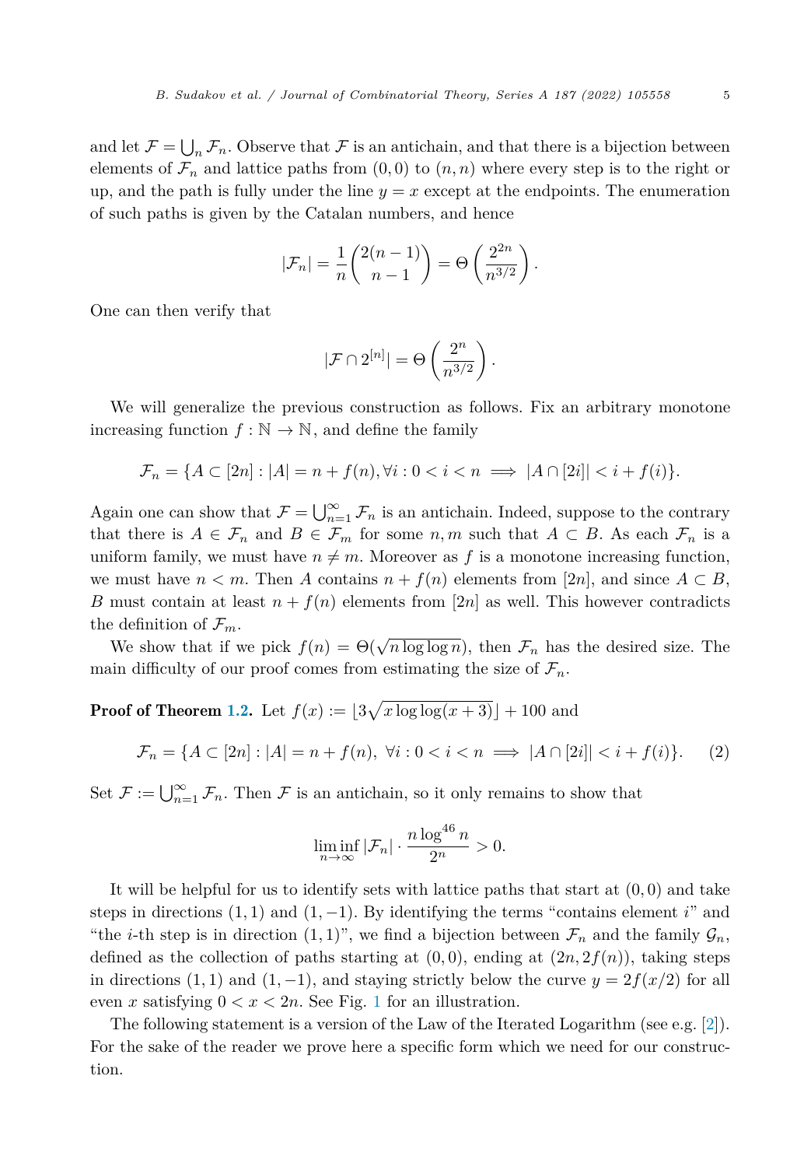and let  $\mathcal{F} = \bigcup_n \mathcal{F}_n$ . Observe that  $\mathcal{F}$  is an antichain, and that there is a bijection between elements of  $\mathcal{F}_n$  and lattice paths from  $(0,0)$  to  $(n,n)$  where every step is to the right or up, and the path is fully under the line  $y = x$  except at the endpoints. The enumeration of such paths is given by the Catalan numbers, and hence

$$
|\mathcal{F}_n| = \frac{1}{n} \binom{2(n-1)}{n-1} = \Theta \left( \frac{2^{2n}}{n^{3/2}} \right).
$$

One can then verify that

$$
|\mathcal{F} \cap 2^{[n]}| = \Theta\left(\frac{2^n}{n^{3/2}}\right).
$$

We will generalize the previous construction as follows. Fix an arbitrary monotone increasing function  $f : \mathbb{N} \to \mathbb{N}$ , and define the family

$$
\mathcal{F}_n = \{ A \subset [2n] : |A| = n + f(n), \forall i : 0 < i < n \implies |A \cap [2i]| < i + f(i) \}.
$$

Again one can show that  $\mathcal{F} = \bigcup_{n=1}^{\infty} \mathcal{F}_n$  is an antichain. Indeed, suppose to the contrary that there is  $A \in \mathcal{F}_n$  and  $B \in \mathcal{F}_m$  for some  $n,m$  such that  $A \subset B$ . As each  $\mathcal{F}_n$  is a uniform family, we must have  $n \neq m$ . Moreover as f is a monotone increasing function, we must have  $n < m$ . Then A contains  $n + f(n)$  elements from [2*n*], and since  $A \subset B$ , *B* must contain at least  $n + f(n)$  elements from [2*n*] as well. This however contradicts the definition of  $\mathcal{F}_m$ .

We show that if we pick  $f(n) = \Theta(\sqrt{n \log \log n})$ , then  $\mathcal{F}_n$  has the desired size. The main difficulty of our proof comes from estimating the size of  $\mathcal{F}_n$ .

**Proof of Theorem [1.2](#page-2-0).** Let  $f(x) := [3\sqrt{x} \log \log(x+3)] + 100$  and

$$
\mathcal{F}_n = \{ A \subset [2n] : |A| = n + f(n), \ \forall i : 0 < i < n \implies |A \cap [2i]| < i + f(i) \}. \tag{2}
$$

Set  $\mathcal{F} := \bigcup_{n=1}^{\infty} \mathcal{F}_n$ . Then  $\mathcal{F}$  is an antichain, so it only remains to show that

$$
\liminf_{n \to \infty} |\mathcal{F}_n| \cdot \frac{n \log^{46} n}{2^n} > 0.
$$

It will be helpful for us to identify sets with lattice paths that start at  $(0,0)$  and take steps in directions  $(1,1)$  and  $(1,-1)$ . By identifying the terms "contains element *i*" and "the *i*-th step is in direction (1, 1)", we find a bijection between  $\mathcal{F}_n$  and the family  $\mathcal{G}_n$ , defined as the collection of paths starting at  $(0,0)$ , ending at  $(2n, 2f(n))$ , taking steps in directions (1, 1) and (1, −1), and staying strictly below the curve  $y = 2f(x/2)$  for all even *x* satisfying  $0 < x < 2n$ . See Fig. [1](#page-5-0) for an illustration.

The following statement is a version of the Law of the Iterated Logarithm (see e.g. [\[2\]](#page-10-0)). For the sake of the reader we prove here a specific form which we need for our construction.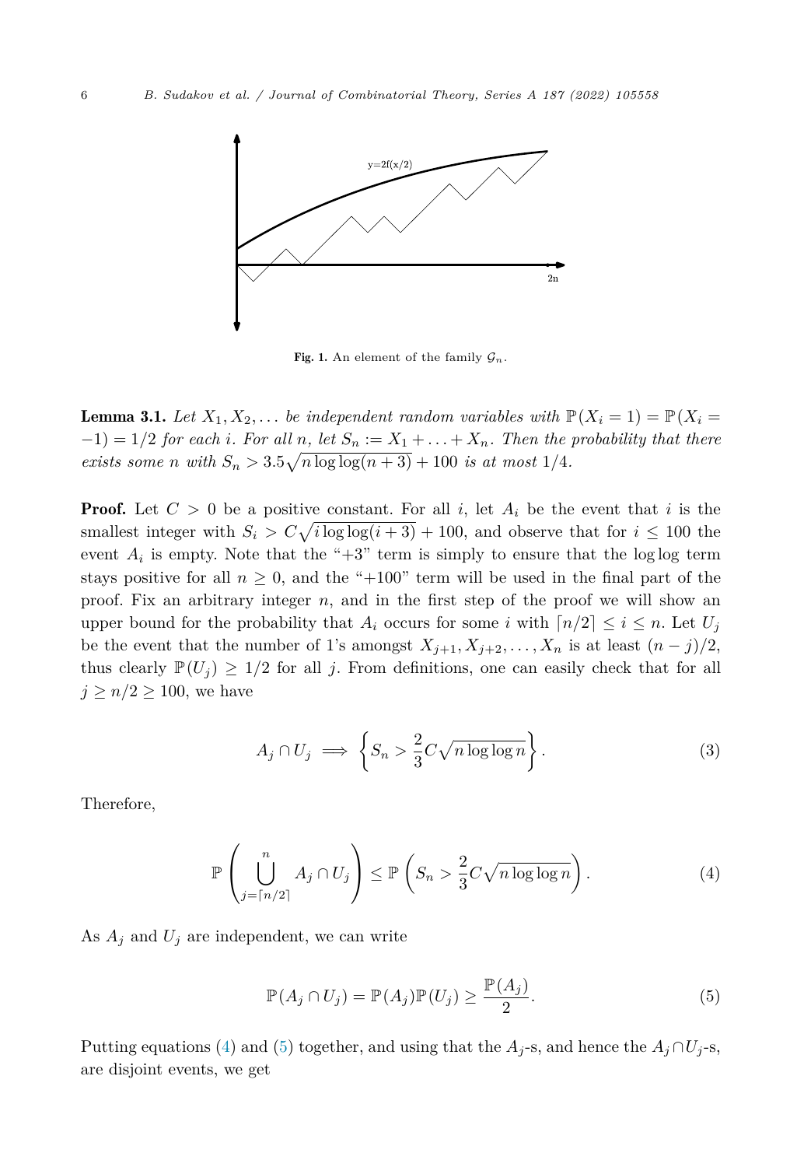<span id="page-5-0"></span>

Fig. 1. An element of the family  $\mathcal{G}_n$ .

**Lemma 3.1.** Let  $X_1, X_2, \ldots$  be independent random variables with  $\mathbb{P}(X_i = 1) = \mathbb{P}(X_i = 1)$  $(-1) = 1/2$  for each i. For all n, let  $S_n := X_1 + ... + X_n$ . Then the probability that there *exists some n with*  $S_n > 3.5\sqrt{n \log \log(n+3) + 100}$  *is at most* 1/4*.* 

**Proof.** Let  $C > 0$  be a positive constant. For all i, let  $A_i$  be the event that i is the smallest integer with  $S_i > C \sqrt{i \log \log(i+3)} + 100$ , and observe that for  $i \leq 100$  the event  $A_i$  is empty. Note that the " $+3$ " term is simply to ensure that the log log term stays positive for all  $n \geq 0$ , and the "+100" term will be used in the final part of the proof. Fix an arbitrary integer *n*, and in the first step of the proof we will show an upper bound for the probability that  $A_i$  occurs for some *i* with  $\lceil n/2 \rceil \leq i \leq n$ . Let  $U_j$ be the event that the number of 1's amongst  $X_{j+1}, X_{j+2}, \ldots, X_n$  is at least  $(n-j)/2$ , thus clearly  $\mathbb{P}(U_i) \geq 1/2$  for all *j*. From definitions, one can easily check that for all  $j \geq n/2 \geq 100$ , we have

$$
A_j \cap U_j \implies \left\{ S_n > \frac{2}{3} C \sqrt{n \log \log n} \right\}.
$$
 (3)

Therefore,

$$
\mathbb{P}\left(\bigcup_{j=\lceil n/2\rceil}^{n} A_j \cap U_j\right) \le \mathbb{P}\left(S_n > \frac{2}{3}C\sqrt{n\log\log n}\right). \tag{4}
$$

As  $A_j$  and  $U_j$  are independent, we can write

$$
\mathbb{P}(A_j \cap U_j) = \mathbb{P}(A_j)\mathbb{P}(U_j) \ge \frac{\mathbb{P}(A_j)}{2}.
$$
\n(5)

Putting equations (4) and (5) together, and using that the  $A_j$ -s, and hence the  $A_j \cap U_j$ -s, are disjoint events, we get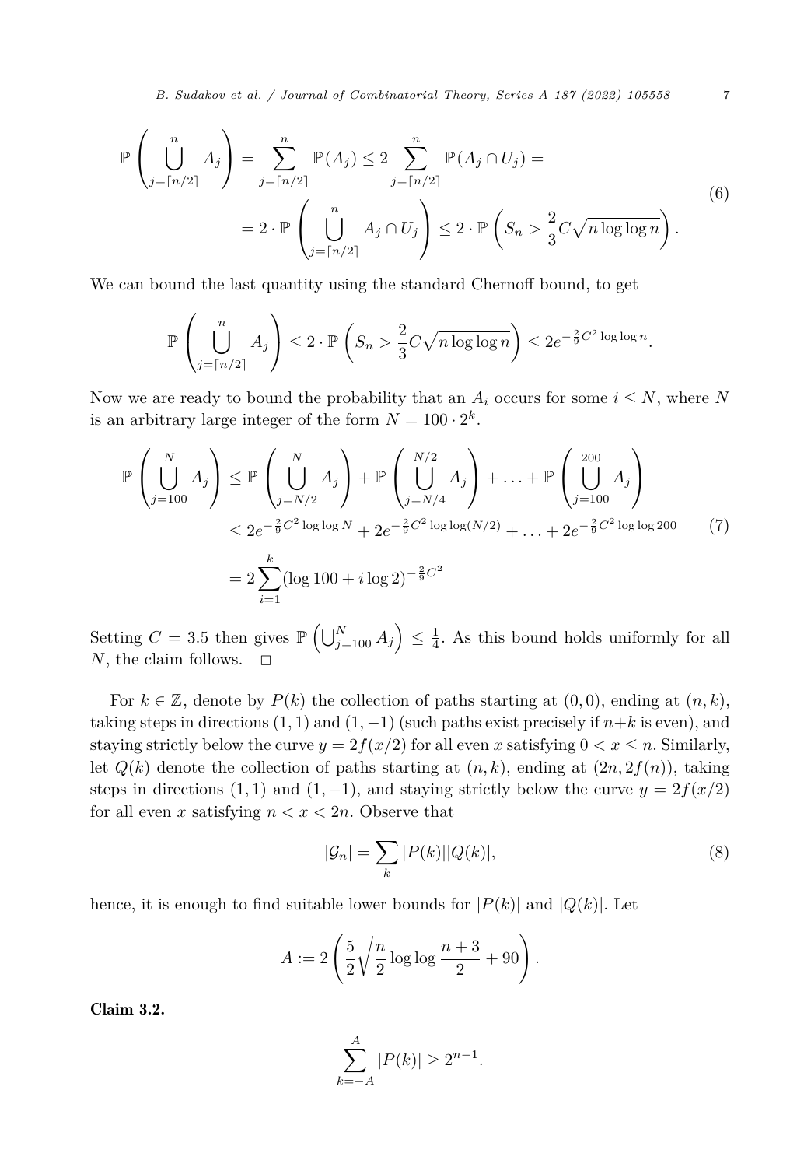*B. Sudakov et al. / Journal of Combinatorial Theory, Series A 187 (2022) 105558* 7

<span id="page-6-0"></span>
$$
\mathbb{P}\left(\bigcup_{j=\lceil n/2 \rceil}^{n} A_j\right) = \sum_{j=\lceil n/2 \rceil}^{n} \mathbb{P}(A_j) \le 2 \sum_{j=\lceil n/2 \rceil}^{n} \mathbb{P}(A_j \cap U_j) =
$$
\n
$$
= 2 \cdot \mathbb{P}\left(\bigcup_{j=\lceil n/2 \rceil}^{n} A_j \cap U_j\right) \le 2 \cdot \mathbb{P}\left(S_n > \frac{2}{3} C \sqrt{n \log \log n}\right).
$$
\n(6)

We can bound the last quantity using the standard Chernoff bound, to get

$$
\mathbb{P}\left(\bigcup_{j=\lceil n/2\rceil}^n A_j\right) \leq 2 \cdot \mathbb{P}\left(S_n > \frac{2}{3}C\sqrt{n\log\log n}\right) \leq 2e^{-\frac{2}{9}C^2\log\log n}.
$$

Now we are ready to bound the probability that an  $A_i$  occurs for some  $i \leq N$ , where N is an arbitrary large integer of the form  $N = 100 \cdot 2^k$ .

$$
\mathbb{P}\left(\bigcup_{j=100}^{N} A_j\right) \leq \mathbb{P}\left(\bigcup_{j=N/2}^{N} A_j\right) + \mathbb{P}\left(\bigcup_{j=N/4}^{N/2} A_j\right) + \dots + \mathbb{P}\left(\bigcup_{j=100}^{200} A_j\right)
$$
  

$$
\leq 2e^{-\frac{2}{9}C^2\log\log N} + 2e^{-\frac{2}{9}C^2\log\log(N/2)} + \dots + 2e^{-\frac{2}{9}C^2\log\log(200)} \tag{7}
$$
  

$$
= 2\sum_{i=1}^{k} (\log 100 + i\log 2)^{-\frac{2}{9}C^2}
$$

Setting  $C = 3.5$  then gives  $\mathbb{P}\left(\bigcup_{j=100}^{N} A_j\right) \leq \frac{1}{4}$ . As this bound holds uniformly for all *N*, the claim follows.

For  $k \in \mathbb{Z}$ , denote by  $P(k)$  the collection of paths starting at  $(0,0)$ , ending at  $(n,k)$ , taking steps in directions  $(1, 1)$  and  $(1, -1)$  (such paths exist precisely if  $n+k$  is even), and staying strictly below the curve  $y = 2f(x/2)$  for all even x satisfying  $0 < x \leq n$ . Similarly, let  $Q(k)$  denote the collection of paths starting at  $(n, k)$ , ending at  $(2n, 2f(n))$ , taking steps in directions (1, 1) and (1, -1), and staying strictly below the curve  $y = 2f(x/2)$ for all even *x* satisfying  $n < x < 2n$ . Observe that

$$
|\mathcal{G}_n| = \sum_k |P(k)||Q(k)|,\tag{8}
$$

hence, it is enough to find suitable lower bounds for  $|P(k)|$  and  $|Q(k)|$ . Let

$$
A := 2\left(\frac{5}{2}\sqrt{\frac{n}{2}\log\log\frac{n+3}{2}} + 90\right).
$$

Claim 3.2.

$$
\sum_{k=-A}^{A} |P(k)| \ge 2^{n-1}.
$$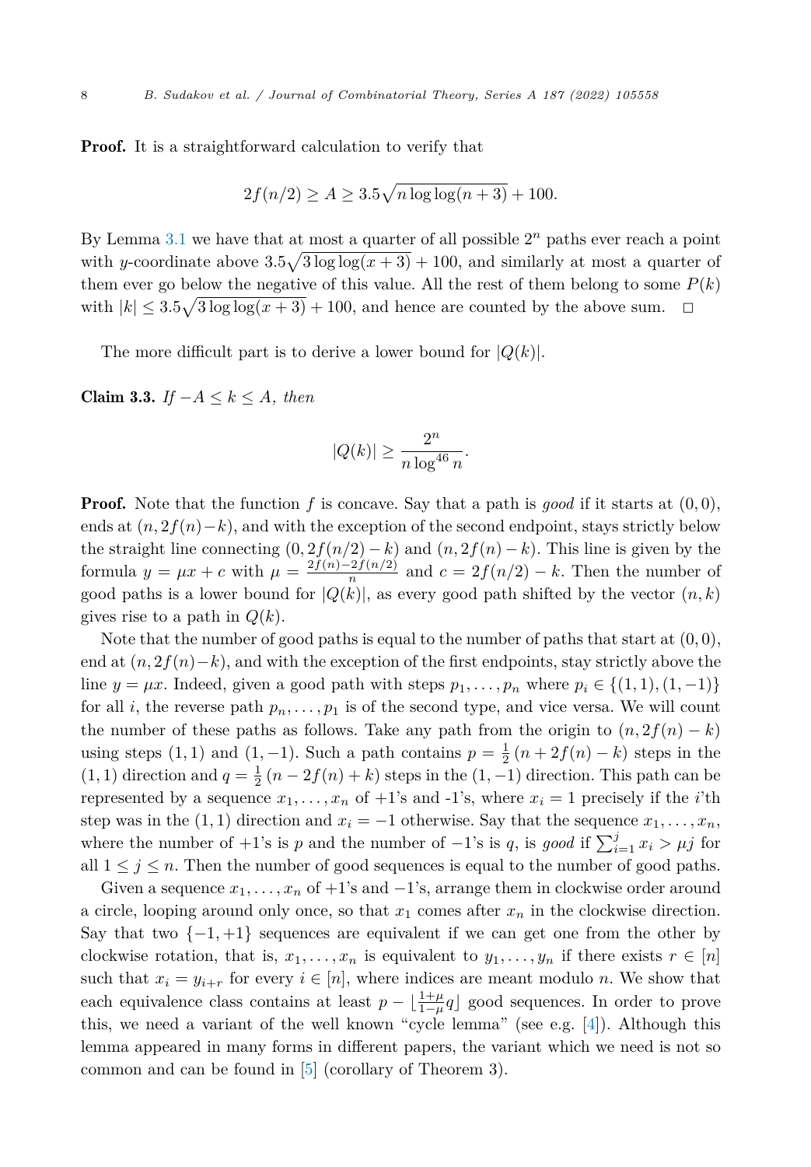<span id="page-7-0"></span>Proof. It is a straightforward calculation to verify that

$$
2f(n/2) \ge A \ge 3.5\sqrt{n \log \log(n+3)} + 100.
$$

By Lemma [3.1](#page-5-0) we have that at most a quarter of all possible 2*<sup>n</sup>* paths ever reach a point with *y*-coordinate above  $3.5\sqrt{3}\log\log(x+3) + 100$ , and similarly at most a quarter of them ever go below the negative of this value. All the rest of them belong to some  $P(k)$ with  $|k| \leq 3.5\sqrt{3} \log \log(x+3) + 100$ , and hence are counted by the above sum.  $\Box$ 

The more difficult part is to derive a lower bound for  $|Q(k)|$ .

Claim 3.3. *If* −*A* ≤ *k* ≤ *A, then*

$$
|Q(k)| \ge \frac{2^n}{n \log^{46} n}.
$$

**Proof.** Note that the function  $f$  is concave. Say that a path is good if it starts at  $(0,0)$ , ends at  $(n, 2f(n)-k)$ , and with the exception of the second endpoint, stays strictly below the straight line connecting  $(0, 2f(n/2) - k)$  and  $(n, 2f(n) - k)$ . This line is given by the formula  $y = \mu x + c$  with  $\mu = \frac{2f(n)-2f(n/2)}{n}$  and  $c = 2f(n/2) - k$ . Then the number of good paths is a lower bound for  $|Q(k)|$ , as every good path shifted by the vector  $(n, k)$ gives rise to a path in *Q*(*k*).

Note that the number of good paths is equal to the number of paths that start at  $(0,0)$ , end at  $(n, 2f(n)-k)$ , and with the exception of the first endpoints, stay strictly above the line  $y = \mu x$ . Indeed, given a good path with steps  $p_1, \ldots, p_n$  where  $p_i \in \{(1,1), (1,-1)\}\$ for all *i*, the reverse path  $p_n, \ldots, p_1$  is of the second type, and vice versa. We will count the number of these paths as follows. Take any path from the origin to  $(n, 2f(n) - k)$ using steps  $(1, 1)$  and  $(1, -1)$ . Such a path contains  $p = \frac{1}{2}(n + 2f(n) - k)$  steps in the (1, 1) direction and  $q = \frac{1}{2}(n - 2f(n) + k)$  steps in the (1, -1) direction. This path can be represented by a sequence  $x_1, \ldots, x_n$  of  $+1$ 's and  $-1$ 's, where  $x_i = 1$  precisely if the *i*'th step was in the  $(1, 1)$  direction and  $x_i = -1$  otherwise. Say that the sequence  $x_1, \ldots, x_n$ , where the number of +1's is *p* and the number of  $-1$ 's is *q*, is *good* if  $\sum_{i=1}^{j} x_i > \mu j$  for all  $1 \leq j \leq n$ . Then the number of good sequences is equal to the number of good paths.

Given a sequence  $x_1, \ldots, x_n$  of  $+1$ 's and  $-1$ 's, arrange them in clockwise order around a circle, looping around only once, so that  $x_1$  comes after  $x_n$  in the clockwise direction. Say that two  $\{-1, +1\}$  sequences are equivalent if we can get one from the other by clockwise rotation, that is,  $x_1, \ldots, x_n$  is equivalent to  $y_1, \ldots, y_n$  if there exists  $r \in [n]$ such that  $x_i = y_{i+r}$  for every  $i \in [n]$ , where indices are meant modulo *n*. We show that each equivalence class contains at least  $p - \lfloor \frac{1+\mu}{1-\mu} q \rfloor$  good sequences. In order to prove this, we need a variant of the well known "cycle lemma" (see e.g. [\[4](#page-10-0)]). Although this lemma appeared in many forms in different papers, the variant which we need is not so common and can be found in [[5\]](#page-10-0) (corollary of Theorem 3).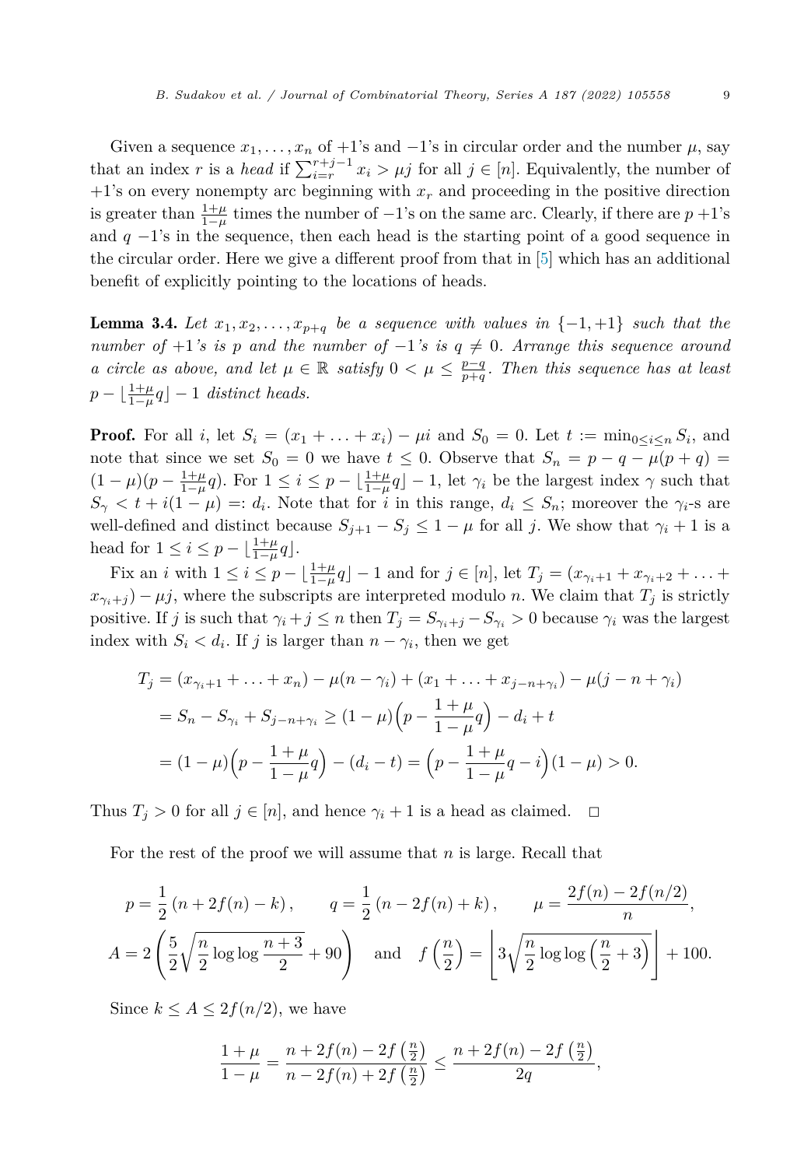<span id="page-8-0"></span>Given a sequence  $x_1, \ldots, x_n$  of  $+1$ 's and  $-1$ 's in circular order and the number  $\mu$ , say that an index *r* is a *head* if  $\sum_{i=r}^{r+j-1} x_i > \mu j$  for all  $j \in [n]$ . Equivalently, the number of +1's on every nonempty arc beginning with *x<sup>r</sup>* and proceeding in the positive direction is greater than  $\frac{1+\mu}{1-\mu}$  times the number of  $-1$ 's on the same arc. Clearly, if there are  $p+1$ 's and  $q -1$ 's in the sequence, then each head is the starting point of a good sequence in the circular order. Here we give a different proof from that in [\[5\]](#page-10-0) which has an additional benefit of explicitly pointing to the locations of heads.

**Lemma 3.4.** Let  $x_1, x_2, \ldots, x_{p+q}$  be a sequence with values in  $\{-1, +1\}$  such that the *number of*  $+1$ *'s is p and the number of*  $-1$ *'s is*  $q \neq 0$ *. Arrange this sequence around* a circle as above, and let  $\mu \in \mathbb{R}$  satisfy  $0 < \mu \leq \frac{p-q}{p+q}$ . Then this sequence has at least  $p - \lfloor \frac{1+\mu}{1-\mu}q \rfloor - 1$  *distinct heads.* 

**Proof.** For all *i*, let  $S_i = (x_1 + \ldots + x_i) - \mu i$  and  $S_0 = 0$ . Let  $t := \min_{0 \le i \le n} S_i$ , and note that since we set  $S_0 = 0$  we have  $t \leq 0$ . Observe that  $S_n = p - q - \mu(p + q)$  $(1 - \mu)(p - \frac{1 + \mu}{1 - \mu}q)$ . For  $1 \leq i \leq p - \lfloor \frac{1 + \mu}{1 - \mu}q \rfloor - 1$ , let  $\gamma_i$  be the largest index  $\gamma$  such that  $S_{\gamma} < t + i(1 - \mu) =: d_i$ . Note that for *i* in this range,  $d_i \leq S_n$ ; moreover the  $\gamma_i$ -s are well-defined and distinct because  $S_{j+1} - S_j \leq 1 - \mu$  for all *j*. We show that  $\gamma_i + 1$  is a head for  $1 \leq i \leq p - \lfloor \frac{1+\mu}{1-\mu} q \rfloor$ .

Fix an *i* with  $1 \le i \le p - \lfloor \frac{1+\mu}{1-\mu}q \rfloor - 1$  and for  $j \in [n]$ , let  $T_j = (x_{\gamma_i+1} + x_{\gamma_i+2} + \ldots + x_{\gamma_i+2})$  $x_{\gamma_i+j}$  –  $\mu j$ , where the subscripts are interpreted modulo *n*. We claim that  $T_j$  is strictly positive. If *j* is such that  $\gamma_i + j \leq n$  then  $T_j = S_{\gamma_i + j} - S_{\gamma_i} > 0$  because  $\gamma_i$  was the largest index with  $S_i < d_i$ . If *j* is larger than  $n - \gamma_i$ , then we get

$$
T_j = (x_{\gamma_i+1} + \dots + x_n) - \mu(n - \gamma_i) + (x_1 + \dots + x_{j-n+\gamma_i}) - \mu(j-n+\gamma_i)
$$
  
=  $S_n - S_{\gamma_i} + S_{j-n+\gamma_i} \ge (1-\mu) \left( p - \frac{1+\mu}{1-\mu} q \right) - d_i + t$   
=  $(1-\mu) \left( p - \frac{1+\mu}{1-\mu} q \right) - (d_i - t) = \left( p - \frac{1+\mu}{1-\mu} q - i \right) (1-\mu) > 0.$ 

Thus  $T_j > 0$  for all  $j \in [n]$ , and hence  $\gamma_i + 1$  is a head as claimed.  $\Box$ 

For the rest of the proof we will assume that *n* is large. Recall that

$$
p = \frac{1}{2} (n + 2f(n) - k), \qquad q = \frac{1}{2} (n - 2f(n) + k), \qquad \mu = \frac{2f(n) - 2f(n/2)}{n},
$$
  

$$
A = 2\left(\frac{5}{2}\sqrt{\frac{n}{2}\log\log\frac{n+3}{2}} + 90\right) \quad \text{and} \quad f\left(\frac{n}{2}\right) = \left[3\sqrt{\frac{n}{2}\log\log\left(\frac{n}{2} + 3\right)}\right] + 100.
$$

Since  $k \leq A \leq 2f(n/2)$ , we have

$$
\frac{1+\mu}{1-\mu} = \frac{n+2f(n)-2f\left(\frac{n}{2}\right)}{n-2f(n)+2f\left(\frac{n}{2}\right)} \le \frac{n+2f(n)-2f\left(\frac{n}{2}\right)}{2q},
$$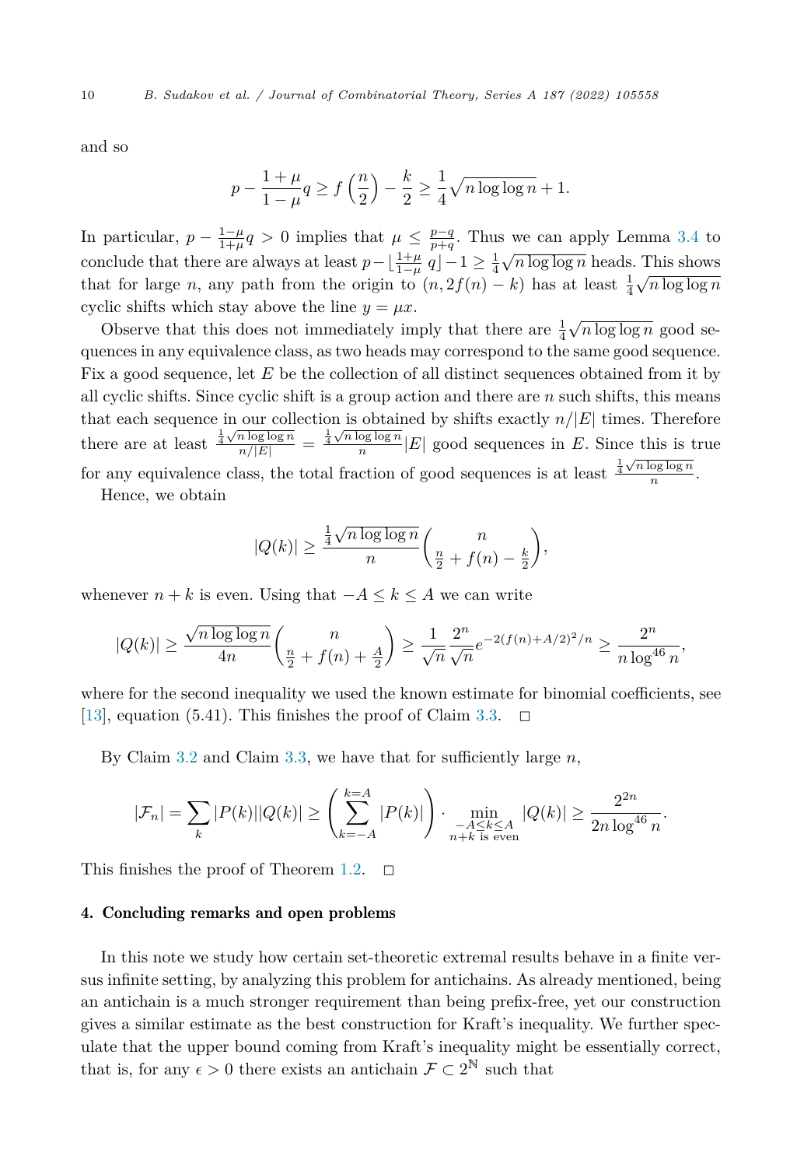and so

$$
p - \frac{1+\mu}{1-\mu}q \ge f\left(\frac{n}{2}\right) - \frac{k}{2} \ge \frac{1}{4}\sqrt{n\log\log n} + 1.
$$

In particular,  $p - \frac{1-\mu}{1+\mu}q > 0$  implies that  $\mu \leq \frac{p-q}{p+q}$ . Thus we can apply Lemma [3.4](#page-8-0) to conclude that there are always at least  $p-\lfloor \frac{1+\mu}{1-\mu} q \rfloor - 1 \geq \frac{1}{4} \sqrt{n \log \log n}$  heads. This shows that for large *n*, any path from the origin to  $(n, 2f(n) - k)$  has at least  $\frac{1}{4}\sqrt{n \log \log n}$ cyclic shifts which stay above the line  $y = \mu x$ .

Observe that this does not immediately imply that there are  $\frac{1}{4}\sqrt{n\log\log n}$  good sequences in any equivalence class, as two heads may correspond to the same good sequence. Fix a good sequence, let *E* be the collection of all distinct sequences obtained from it by all cyclic shifts. Since cyclic shift is a group action and there are *n* such shifts, this means that each sequence in our collection is obtained by shifts exactly *n/*|*E*| times. Therefore there are at least  $\frac{\frac{1}{4}\sqrt{n\log\log n}}{n/|E|} = \frac{\frac{1}{4}\sqrt{n\log\log n}}{n}|E|$  good sequences in *E*. Since this is true for any equivalence class, the total fraction of good sequences is at least  $\frac{\frac{1}{4}\sqrt{n\log\log n}}{n}$ .

Hence, we obtain

$$
|Q(k)| \ge \frac{\frac{1}{4}\sqrt{n\log\log n}}{n} \binom{n}{\frac{n}{2} + f(n) - \frac{k}{2}},
$$

whenever  $n + k$  is even. Using that  $-A \leq k \leq A$  we can write

$$
|Q(k)| \ge \frac{\sqrt{n \log \log n}}{4n} \binom{n}{\frac{n}{2} + f(n) + \frac{A}{2}} \ge \frac{1}{\sqrt{n}} \frac{2^n}{\sqrt{n}} e^{-2(f(n) + A/2)^2/n} \ge \frac{2^n}{n \log^{46} n},
$$

where for the second inequality we used the known estimate for binomial coefficients, see  $[13]$ , equation  $(5.41)$ . This finishes the proof of Claim [3.3.](#page-7-0)  $\Box$ 

By Claim [3.2](#page-6-0) and Claim [3.3,](#page-7-0) we have that for sufficiently large *n*,

$$
|\mathcal{F}_n| = \sum_{k} |P(k)| |Q(k)| \ge \left(\sum_{k=-A}^{k=A} |P(k)|\right) \cdot \min_{\substack{-A \le k \le A \\ n+k \text{ is even}}} |Q(k)| \ge \frac{2^{2n}}{2n \log^{46} n}.
$$

This finishes the proof of Theorem [1.2.](#page-2-0)  $\Box$ 

### 4. Concluding remarks and open problems

In this note we study how certain set-theoretic extremal results behave in a finite versus infinite setting, by analyzing this problem for antichains. As already mentioned, being an antichain is a much stronger requirement than being prefix-free, yet our construction gives a similar estimate as the best construction for Kraft's inequality. We further speculate that the upper bound coming from Kraft's inequality might be essentially correct, that is, for any  $\epsilon > 0$  there exists an antichain  $\mathcal{F} \subset 2^{\mathbb{N}}$  such that

<span id="page-9-0"></span>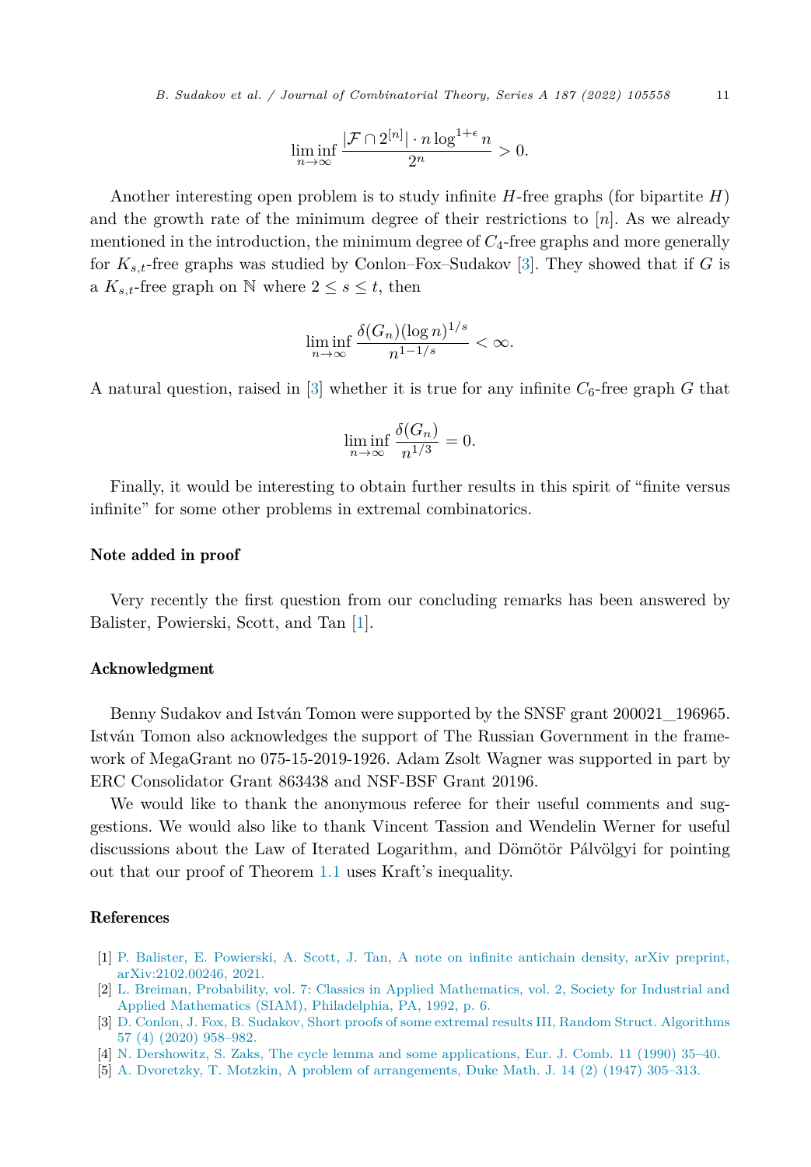<span id="page-10-0"></span>*B. Sudakov et al. / Journal of Combinatorial Theory, Series A 187 (2022) 105558* 11

$$
\liminf_{n \to \infty} \frac{|\mathcal{F} \cap 2^{[n]}| \cdot n \log^{1+\epsilon} n}{2^n} > 0.
$$

Another interesting open problem is to study infinite *H*-free graphs (for bipartite *H*) and the growth rate of the minimum degree of their restrictions to  $[n]$ . As we already mentioned in the introduction, the minimum degree of *C*4-free graphs and more generally for *Ks,t*-free graphs was studied by Conlon–Fox–Sudakov [3]. They showed that if *G* is a  $K_{s,t}$ -free graph on N where  $2 \leq s \leq t$ , then

$$
\liminf_{n \to \infty} \frac{\delta(G_n)(\log n)^{1/s}}{n^{1-1/s}} < \infty.
$$

A natural question, raised in  $\lceil 3 \rceil$  whether it is true for any infinite  $C_6$ -free graph G that

$$
\liminf_{n \to \infty} \frac{\delta(G_n)}{n^{1/3}} = 0.
$$

Finally, it would be interesting to obtain further results in this spirit of "finite versus infinite" for some other problems in extremal combinatorics.

#### Note added in proof

Very recently the first question from our concluding remarks has been answered by Balister, Powierski, Scott, and Tan [1].

# Acknowledgment

Benny Sudakov and István Tomon were supported by the SNSF grant 200021\_196965. István Tomon also acknowledges the support of The Russian Government in the framework of MegaGrant no 075-15-2019-1926. Adam Zsolt Wagner was supported in part by ERC Consolidator Grant 863438 and NSF-BSF Grant 20196.

We would like to thank the anonymous referee for their useful comments and suggestions. We would also like to thank Vincent Tassion and Wendelin Werner for useful discussions about the Law of Iterated Logarithm, and Dömötör Pálvölgyi for pointing out that our proof of Theorem [1.1](#page-2-0) uses Kraft's inequality.

## References

- [1] P. Balister, E. [Powierski,](http://refhub.elsevier.com/S0097-3165(21)00157-6/bib21F63C6E971CD913A9C147E8652CA659s1) A. Scott, J. Tan, A note on infinite antichain density, arXiv preprint, [arXiv:2102.00246,](http://refhub.elsevier.com/S0097-3165(21)00157-6/bib21F63C6E971CD913A9C147E8652CA659s1) 2021.
- [2] L. Breiman, Probability, vol. 7: Classics in Applied [Mathematics,](http://refhub.elsevier.com/S0097-3165(21)00157-6/bibC2DAC241A672D11330C8E50072CB0231s1) vol. 2, Society for Industrial and Applied Mathematics (SIAM), [Philadelphia,](http://refhub.elsevier.com/S0097-3165(21)00157-6/bibC2DAC241A672D11330C8E50072CB0231s1) PA, 1992, p. 6.
- [3] D. Conlon, J. Fox, B. Sudakov, Short proofs of some extremal results III, Random Struct. [Algorithms](http://refhub.elsevier.com/S0097-3165(21)00157-6/bibD1CBD910F676F27BF794B7665F372556s1) 57 (4) (2020) [958–982.](http://refhub.elsevier.com/S0097-3165(21)00157-6/bibD1CBD910F676F27BF794B7665F372556s1)
- [4] N. Dershowitz, S. Zaks, The cycle lemma and some [applications,](http://refhub.elsevier.com/S0097-3165(21)00157-6/bibD72DFE130175346827B827EFF6ADFB0Fs1) Eur. J. Comb. 11 (1990) 35–40.
- [5] A. Dvoretzky, T. Motzkin, A problem of [arrangements,](http://refhub.elsevier.com/S0097-3165(21)00157-6/bibB9BE43742E8AFFEA1C3E095C50BF316Ds1) Duke Math. J. 14 (2) (1947) 305–313.